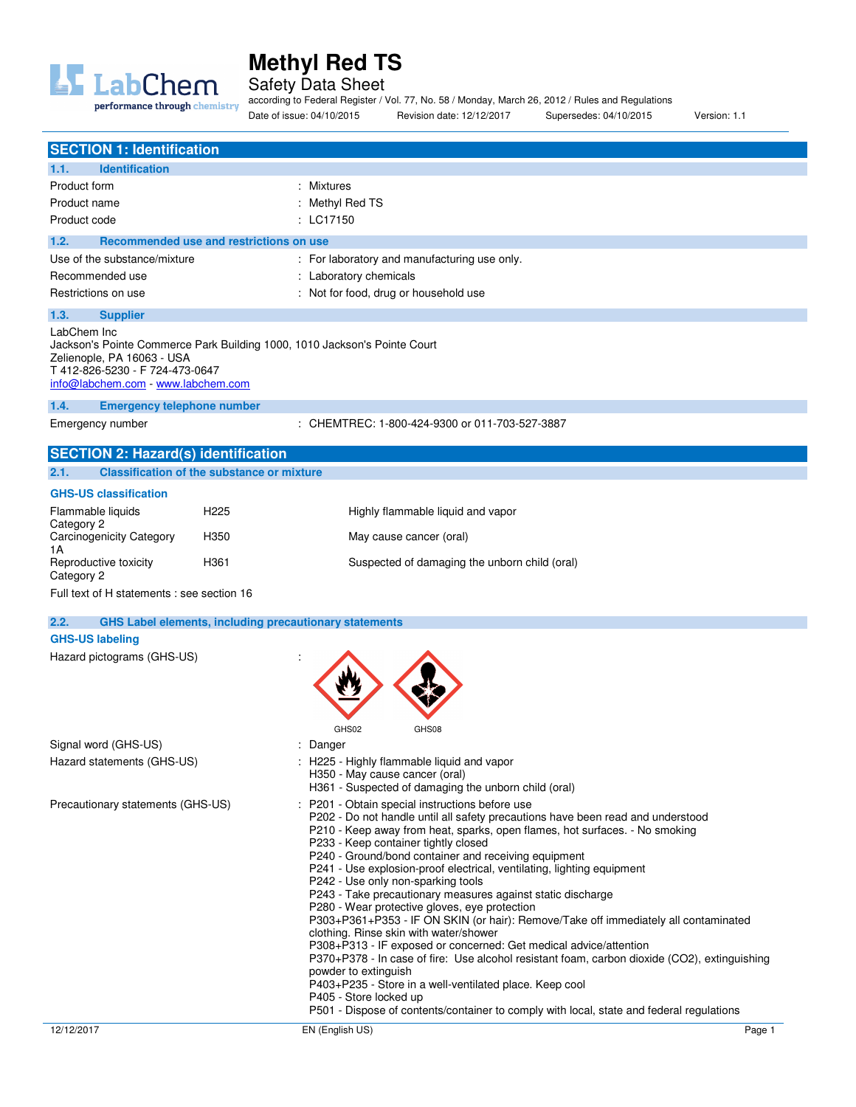

Safety Data Sheet

according to Federal Register / Vol. 77, No. 58 / Monday, March 26, 2012 / Rules and Regulations Date of issue: 04/10/2015 Revision date: 12/12/2017 Supersedes: 04/10/2015 Version: 1.1

| <b>SECTION 1: Identification</b>                                                                                                                                                                                           |                                                   |                                                                                                                                                                                                                                                                                                                                                                                                                                                                                                                                                                                                                                                                                                                                                                                                                                                                                                                                                                                                                                                                  |
|----------------------------------------------------------------------------------------------------------------------------------------------------------------------------------------------------------------------------|---------------------------------------------------|------------------------------------------------------------------------------------------------------------------------------------------------------------------------------------------------------------------------------------------------------------------------------------------------------------------------------------------------------------------------------------------------------------------------------------------------------------------------------------------------------------------------------------------------------------------------------------------------------------------------------------------------------------------------------------------------------------------------------------------------------------------------------------------------------------------------------------------------------------------------------------------------------------------------------------------------------------------------------------------------------------------------------------------------------------------|
| <b>Identification</b><br>1.1.                                                                                                                                                                                              |                                                   |                                                                                                                                                                                                                                                                                                                                                                                                                                                                                                                                                                                                                                                                                                                                                                                                                                                                                                                                                                                                                                                                  |
| Product form<br>Product name<br>Product code                                                                                                                                                                               |                                                   | : Mixtures<br>: Methyl Red TS<br>$:$ LC17150                                                                                                                                                                                                                                                                                                                                                                                                                                                                                                                                                                                                                                                                                                                                                                                                                                                                                                                                                                                                                     |
| 1.2.                                                                                                                                                                                                                       | Recommended use and restrictions on use           |                                                                                                                                                                                                                                                                                                                                                                                                                                                                                                                                                                                                                                                                                                                                                                                                                                                                                                                                                                                                                                                                  |
| Use of the substance/mixture<br>Recommended use<br>Restrictions on use                                                                                                                                                     |                                                   | : For laboratory and manufacturing use only.<br>: Laboratory chemicals<br>: Not for food, drug or household use                                                                                                                                                                                                                                                                                                                                                                                                                                                                                                                                                                                                                                                                                                                                                                                                                                                                                                                                                  |
| 1.3.<br><b>Supplier</b><br>LabChem Inc<br>Jackson's Pointe Commerce Park Building 1000, 1010 Jackson's Pointe Court<br>Zelienople, PA 16063 - USA<br>T 412-826-5230 - F 724-473-0647<br>info@labchem.com - www.labchem.com |                                                   |                                                                                                                                                                                                                                                                                                                                                                                                                                                                                                                                                                                                                                                                                                                                                                                                                                                                                                                                                                                                                                                                  |
| <b>Emergency telephone number</b><br>1.4.<br>Emergency number                                                                                                                                                              |                                                   | : CHEMTREC: 1-800-424-9300 or 011-703-527-3887                                                                                                                                                                                                                                                                                                                                                                                                                                                                                                                                                                                                                                                                                                                                                                                                                                                                                                                                                                                                                   |
| <b>SECTION 2: Hazard(s) identification</b>                                                                                                                                                                                 |                                                   |                                                                                                                                                                                                                                                                                                                                                                                                                                                                                                                                                                                                                                                                                                                                                                                                                                                                                                                                                                                                                                                                  |
| 2.1.                                                                                                                                                                                                                       | <b>Classification of the substance or mixture</b> |                                                                                                                                                                                                                                                                                                                                                                                                                                                                                                                                                                                                                                                                                                                                                                                                                                                                                                                                                                                                                                                                  |
| <b>GHS-US classification</b>                                                                                                                                                                                               |                                                   |                                                                                                                                                                                                                                                                                                                                                                                                                                                                                                                                                                                                                                                                                                                                                                                                                                                                                                                                                                                                                                                                  |
| Flammable liquids<br>Category 2                                                                                                                                                                                            | H <sub>225</sub>                                  | Highly flammable liquid and vapor                                                                                                                                                                                                                                                                                                                                                                                                                                                                                                                                                                                                                                                                                                                                                                                                                                                                                                                                                                                                                                |
| <b>Carcinogenicity Category</b><br>1A                                                                                                                                                                                      | H350                                              | May cause cancer (oral)                                                                                                                                                                                                                                                                                                                                                                                                                                                                                                                                                                                                                                                                                                                                                                                                                                                                                                                                                                                                                                          |
| Reproductive toxicity<br>Category 2                                                                                                                                                                                        | H361                                              | Suspected of damaging the unborn child (oral)                                                                                                                                                                                                                                                                                                                                                                                                                                                                                                                                                                                                                                                                                                                                                                                                                                                                                                                                                                                                                    |
| Full text of H statements : see section 16                                                                                                                                                                                 |                                                   |                                                                                                                                                                                                                                                                                                                                                                                                                                                                                                                                                                                                                                                                                                                                                                                                                                                                                                                                                                                                                                                                  |
| 2.2.                                                                                                                                                                                                                       |                                                   | <b>GHS Label elements, including precautionary statements</b>                                                                                                                                                                                                                                                                                                                                                                                                                                                                                                                                                                                                                                                                                                                                                                                                                                                                                                                                                                                                    |
| <b>GHS-US labeling</b>                                                                                                                                                                                                     |                                                   |                                                                                                                                                                                                                                                                                                                                                                                                                                                                                                                                                                                                                                                                                                                                                                                                                                                                                                                                                                                                                                                                  |
| Hazard pictograms (GHS-US)                                                                                                                                                                                                 |                                                   |                                                                                                                                                                                                                                                                                                                                                                                                                                                                                                                                                                                                                                                                                                                                                                                                                                                                                                                                                                                                                                                                  |
| Signal word (GHS-US)                                                                                                                                                                                                       |                                                   | GHS02<br>GHS08<br>Danger                                                                                                                                                                                                                                                                                                                                                                                                                                                                                                                                                                                                                                                                                                                                                                                                                                                                                                                                                                                                                                         |
| Hazard statements (GHS-US)                                                                                                                                                                                                 |                                                   | : H225 - Highly flammable liquid and vapor<br>H350 - May cause cancer (oral)<br>H361 - Suspected of damaging the unborn child (oral)                                                                                                                                                                                                                                                                                                                                                                                                                                                                                                                                                                                                                                                                                                                                                                                                                                                                                                                             |
| Precautionary statements (GHS-US)                                                                                                                                                                                          |                                                   | : P201 - Obtain special instructions before use<br>P202 - Do not handle until all safety precautions have been read and understood<br>P210 - Keep away from heat, sparks, open flames, hot surfaces. - No smoking<br>P233 - Keep container tightly closed<br>P240 - Ground/bond container and receiving equipment<br>P241 - Use explosion-proof electrical, ventilating, lighting equipment<br>P242 - Use only non-sparking tools<br>P243 - Take precautionary measures against static discharge<br>P280 - Wear protective gloves, eye protection<br>P303+P361+P353 - IF ON SKIN (or hair): Remove/Take off immediately all contaminated<br>clothing. Rinse skin with water/shower<br>P308+P313 - IF exposed or concerned: Get medical advice/attention<br>P370+P378 - In case of fire: Use alcohol resistant foam, carbon dioxide (CO2), extinguishing<br>powder to extinguish<br>P403+P235 - Store in a well-ventilated place. Keep cool<br>P405 - Store locked up<br>P501 - Dispose of contents/container to comply with local, state and federal regulations |
| 12/12/2017                                                                                                                                                                                                                 |                                                   | EN (English US)<br>Page 1                                                                                                                                                                                                                                                                                                                                                                                                                                                                                                                                                                                                                                                                                                                                                                                                                                                                                                                                                                                                                                        |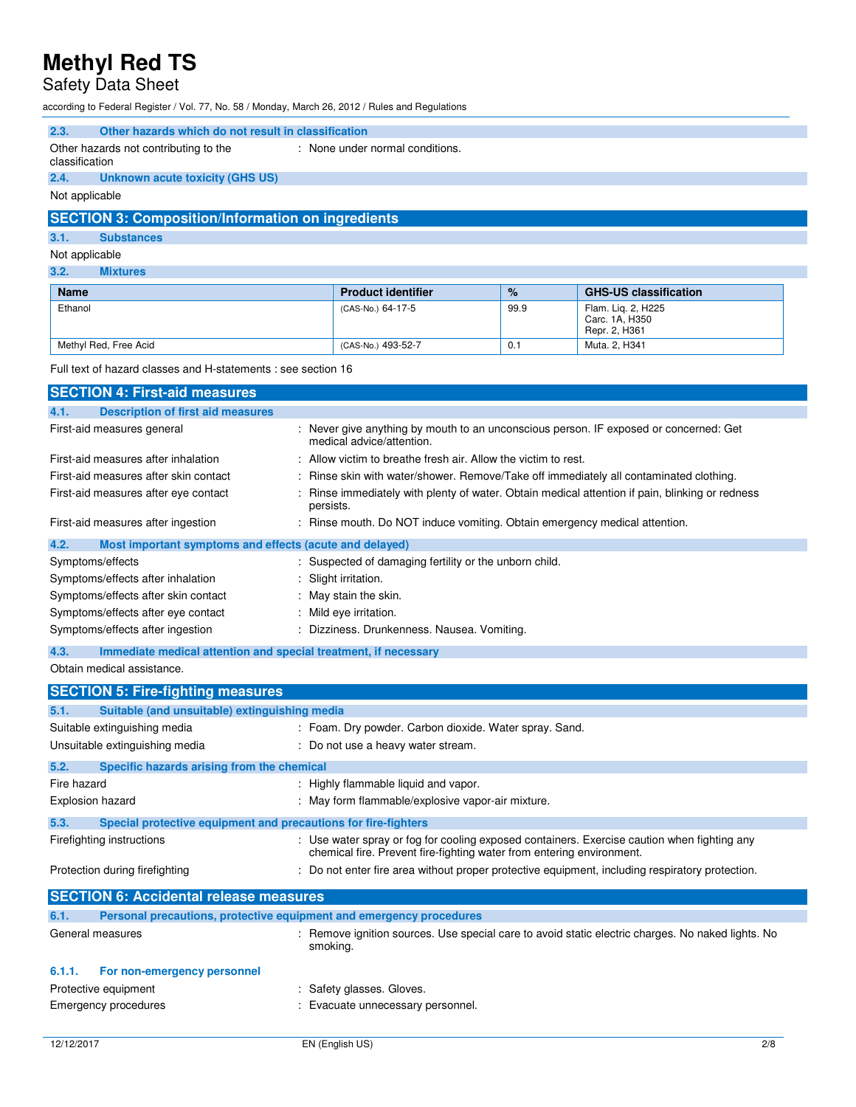## Safety Data Sheet

|                | according to Federal Register / Vol. 77, No. 58 / Monday, March 26, 2012 / Rules and Regulations                         |           |                                                                                      |      |                                                                                                   |
|----------------|--------------------------------------------------------------------------------------------------------------------------|-----------|--------------------------------------------------------------------------------------|------|---------------------------------------------------------------------------------------------------|
| 2.3.           | Other hazards which do not result in classification                                                                      |           |                                                                                      |      |                                                                                                   |
| classification | Other hazards not contributing to the                                                                                    |           | : None under normal conditions.                                                      |      |                                                                                                   |
| 2.4.           | <b>Unknown acute toxicity (GHS US)</b>                                                                                   |           |                                                                                      |      |                                                                                                   |
| Not applicable |                                                                                                                          |           |                                                                                      |      |                                                                                                   |
|                | <b>SECTION 3: Composition/Information on ingredients</b>                                                                 |           |                                                                                      |      |                                                                                                   |
| 3.1.           | <b>Substances</b>                                                                                                        |           |                                                                                      |      |                                                                                                   |
| Not applicable |                                                                                                                          |           |                                                                                      |      |                                                                                                   |
| 3.2.           | <b>Mixtures</b>                                                                                                          |           |                                                                                      |      |                                                                                                   |
| Name           |                                                                                                                          |           | <b>Product identifier</b>                                                            | %    | <b>GHS-US classification</b>                                                                      |
| Ethanol        |                                                                                                                          |           | (CAS-No.) 64-17-5                                                                    | 99.9 | Flam. Lig. 2, H225<br>Carc. 1A, H350<br>Repr. 2, H361                                             |
|                | Methyl Red, Free Acid                                                                                                    |           | (CAS-No.) 493-52-7                                                                   | 0.1  | Muta. 2, H341                                                                                     |
|                | Full text of hazard classes and H-statements : see section 16                                                            |           |                                                                                      |      |                                                                                                   |
|                | <b>SECTION 4: First-aid measures</b>                                                                                     |           |                                                                                      |      |                                                                                                   |
| 4.1.           | <b>Description of first aid measures</b>                                                                                 |           |                                                                                      |      |                                                                                                   |
|                | First-aid measures general                                                                                               |           | medical advice/attention.                                                            |      | : Never give anything by mouth to an unconscious person. IF exposed or concerned: Get             |
|                | First-aid measures after inhalation                                                                                      |           | : Allow victim to breathe fresh air. Allow the victim to rest.                       |      |                                                                                                   |
|                | First-aid measures after skin contact                                                                                    |           | Rinse skin with water/shower. Remove/Take off immediately all contaminated clothing. |      |                                                                                                   |
|                | First-aid measures after eye contact                                                                                     | persists. |                                                                                      |      | : Rinse immediately with plenty of water. Obtain medical attention if pain, blinking or redness   |
|                | First-aid measures after ingestion                                                                                       |           | : Rinse mouth. Do NOT induce vomiting. Obtain emergency medical attention.           |      |                                                                                                   |
| 4.2.           | Most important symptoms and effects (acute and delayed)                                                                  |           |                                                                                      |      |                                                                                                   |
|                | Symptoms/effects                                                                                                         |           | : Suspected of damaging fertility or the unborn child.                               |      |                                                                                                   |
|                | Symptoms/effects after inhalation                                                                                        |           | : Slight irritation.                                                                 |      |                                                                                                   |
|                | Symptoms/effects after skin contact                                                                                      |           | : May stain the skin.                                                                |      |                                                                                                   |
|                | Symptoms/effects after eye contact                                                                                       |           | : Mild eye irritation.                                                               |      |                                                                                                   |
|                | Symptoms/effects after ingestion                                                                                         |           | : Dizziness. Drunkenness. Nausea. Vomiting.                                          |      |                                                                                                   |
| 4.3.           | Immediate medical attention and special treatment, if necessary                                                          |           |                                                                                      |      |                                                                                                   |
|                | Obtain medical assistance.                                                                                               |           |                                                                                      |      |                                                                                                   |
|                | <b>SECTION 5: Fire-fighting measures</b>                                                                                 |           |                                                                                      |      |                                                                                                   |
| 5.1.           | Suitable (and unsuitable) extinguishing media                                                                            |           |                                                                                      |      |                                                                                                   |
|                | Suitable extinguishing media                                                                                             |           | : Foam. Dry powder. Carbon dioxide. Water spray. Sand.                               |      |                                                                                                   |
|                | Unsuitable extinguishing media                                                                                           |           | : Do not use a heavy water stream.                                                   |      |                                                                                                   |
| 5.2.           | Specific hazards arising from the chemical                                                                               |           |                                                                                      |      |                                                                                                   |
| Fire hazard    |                                                                                                                          |           | : Highly flammable liquid and vapor.                                                 |      |                                                                                                   |
|                | Explosion hazard                                                                                                         |           | : May form flammable/explosive vapor-air mixture.                                    |      |                                                                                                   |
| 5.3.           | Special protective equipment and precautions for fire-fighters                                                           |           |                                                                                      |      |                                                                                                   |
|                | : Use water spray or fog for cooling exposed containers. Exercise caution when fighting any<br>Firefighting instructions |           |                                                                                      |      |                                                                                                   |
|                | Protection during firefighting                                                                                           |           | chemical fire. Prevent fire-fighting water from entering environment.                |      | : Do not enter fire area without proper protective equipment, including respiratory protection.   |
|                | <b>SECTION 6: Accidental release measures</b>                                                                            |           |                                                                                      |      |                                                                                                   |
| 6.1.           | Personal precautions, protective equipment and emergency procedures                                                      |           |                                                                                      |      |                                                                                                   |
|                | General measures                                                                                                         | smoking.  |                                                                                      |      | : Remove ignition sources. Use special care to avoid static electric charges. No naked lights. No |
| 6.1.1.         | For non-emergency personnel                                                                                              |           |                                                                                      |      |                                                                                                   |

Protective equipment **in the case of the Case** of the Safety glasses. Gloves.

Emergency procedures **in the case of the Contract Evacuate** unnecessary personnel.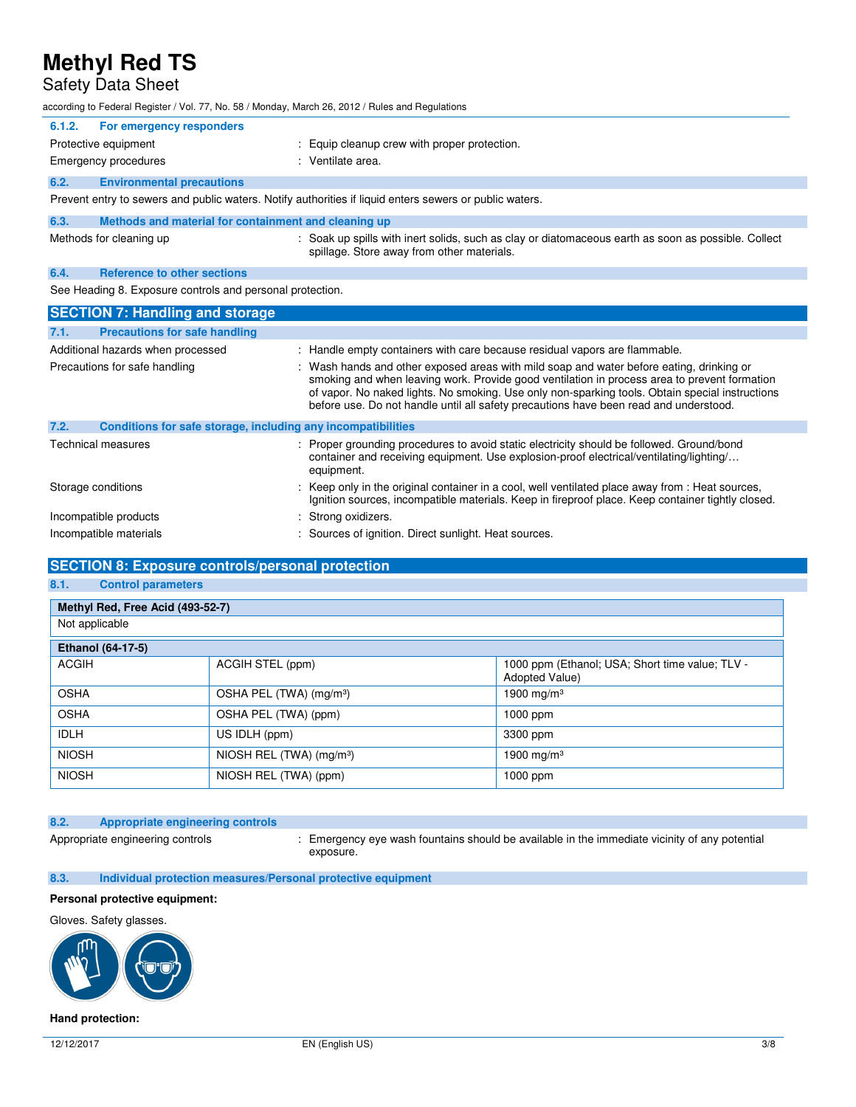## Safety Data Sheet

| according to Federal Register / Vol. 77, No. 58 / Monday, March 26, 2012 / Rules and Regulations |                                                                                                                                                                                                                                                                                                                                                                                      |
|--------------------------------------------------------------------------------------------------|--------------------------------------------------------------------------------------------------------------------------------------------------------------------------------------------------------------------------------------------------------------------------------------------------------------------------------------------------------------------------------------|
| For emergency responders<br>6.1.2.                                                               |                                                                                                                                                                                                                                                                                                                                                                                      |
| Protective equipment                                                                             | : Equip cleanup crew with proper protection.                                                                                                                                                                                                                                                                                                                                         |
| Emergency procedures                                                                             | : Ventilate area.                                                                                                                                                                                                                                                                                                                                                                    |
| 6.2.<br><b>Environmental precautions</b>                                                         |                                                                                                                                                                                                                                                                                                                                                                                      |
|                                                                                                  | Prevent entry to sewers and public waters. Notify authorities if liquid enters sewers or public waters.                                                                                                                                                                                                                                                                              |
| 6.3.<br>Methods and material for containment and cleaning up                                     |                                                                                                                                                                                                                                                                                                                                                                                      |
| Methods for cleaning up                                                                          | : Soak up spills with inert solids, such as clay or diatomaceous earth as soon as possible. Collect<br>spillage. Store away from other materials.                                                                                                                                                                                                                                    |
| <b>Reference to other sections</b><br>6.4.                                                       |                                                                                                                                                                                                                                                                                                                                                                                      |
| See Heading 8. Exposure controls and personal protection.                                        |                                                                                                                                                                                                                                                                                                                                                                                      |
|                                                                                                  |                                                                                                                                                                                                                                                                                                                                                                                      |
| <b>SECTION 7: Handling and storage</b>                                                           |                                                                                                                                                                                                                                                                                                                                                                                      |
| <b>Precautions for safe handling</b><br>7.1.                                                     |                                                                                                                                                                                                                                                                                                                                                                                      |
| Additional hazards when processed                                                                | : Handle empty containers with care because residual vapors are flammable.                                                                                                                                                                                                                                                                                                           |
| Precautions for safe handling                                                                    | : Wash hands and other exposed areas with mild soap and water before eating, drinking or<br>smoking and when leaving work. Provide good ventilation in process area to prevent formation<br>of vapor. No naked lights. No smoking. Use only non-sparking tools. Obtain special instructions<br>before use. Do not handle until all safety precautions have been read and understood. |
| Conditions for safe storage, including any incompatibilities<br>7.2.                             |                                                                                                                                                                                                                                                                                                                                                                                      |
| <b>Technical measures</b>                                                                        | Proper grounding procedures to avoid static electricity should be followed. Ground/bond<br>container and receiving equipment. Use explosion-proof electrical/ventilating/lighting/<br>equipment.                                                                                                                                                                                     |

- Incompatible products in the strong oxidizers.
- Incompatible materials **incompatible materials** : Sources of ignition. Direct sunlight. Heat sources.

### **SECTION 8: Exposure controls/personal protection**

## **8.1. Control parameters**

| Methyl Red, Free Acid (493-52-7) |                                      |                                                                   |  |
|----------------------------------|--------------------------------------|-------------------------------------------------------------------|--|
| Not applicable                   |                                      |                                                                   |  |
| Ethanol (64-17-5)                |                                      |                                                                   |  |
| <b>ACGIH</b>                     | ACGIH STEL (ppm)                     | 1000 ppm (Ethanol; USA; Short time value; TLV -<br>Adopted Value) |  |
| <b>OSHA</b>                      | OSHA PEL (TWA) (mg/m <sup>3</sup> )  | 1900 mg/m $3$                                                     |  |
| <b>OSHA</b>                      | OSHA PEL (TWA) (ppm)                 | 1000 ppm                                                          |  |
| <b>IDLH</b>                      | US IDLH (ppm)                        | 3300 ppm                                                          |  |
| <b>NIOSH</b>                     | NIOSH REL (TWA) (mg/m <sup>3</sup> ) | 1900 mg/m $3$                                                     |  |
| <b>NIOSH</b>                     | NIOSH REL (TWA) (ppm)                | 1000 ppm                                                          |  |

### **8.2. Appropriate engineering controls**

Appropriate engineering controls : Emergency eye wash fountains should be available in the immediate vicinity of any potential exposure.

**8.3. Individual protection measures/Personal protective equipment** 

### **Personal protective equipment:**

#### Gloves. Safety glasses.



#### **Hand protection:**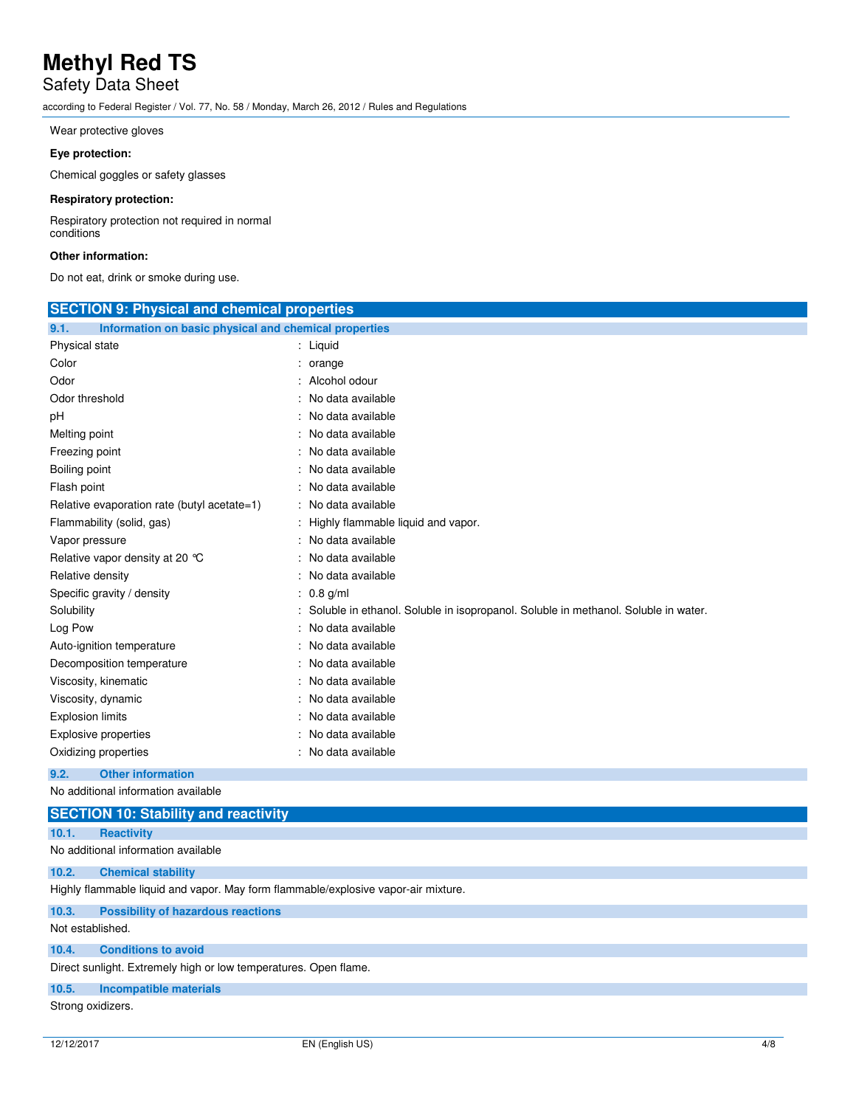# Safety Data Sheet

according to Federal Register / Vol. 77, No. 58 / Monday, March 26, 2012 / Rules and Regulations

Wear protective gloves

#### **Eye protection:**

Chemical goggles or safety glasses

### **Respiratory protection:**

Respiratory protection not required in normal conditions

### **Other information:**

Do not eat, drink or smoke during use.

| <b>SECTION 9: Physical and chemical properties</b>                                   |
|--------------------------------------------------------------------------------------|
| Information on basic physical and chemical properties                                |
| : Liquid                                                                             |
| : orange                                                                             |
| $:$ Alcohol odour                                                                    |
| : No data available                                                                  |
| : No data available                                                                  |
| : No data available                                                                  |
| : No data available                                                                  |
| : No data available                                                                  |
| : No data available                                                                  |
| : No data available                                                                  |
| : Highly flammable liquid and vapor.                                                 |
| : No data available                                                                  |
| : No data available                                                                  |
| : No data available                                                                  |
| $: 0.8$ g/ml                                                                         |
| : Soluble in ethanol. Soluble in isopropanol. Soluble in methanol. Soluble in water. |
| : No data available                                                                  |
| : No data available                                                                  |
| : No data available                                                                  |
| : No data available                                                                  |
| : No data available                                                                  |
| : No data available                                                                  |
| : No data available                                                                  |
| : No data available                                                                  |
|                                                                                      |

### **9.2. Other information**

No additional information available

|                   | <b>SECTION 10: Stability and reactivity</b>                                        |  |  |  |
|-------------------|------------------------------------------------------------------------------------|--|--|--|
| 10.1.             | <b>Reactivity</b>                                                                  |  |  |  |
|                   | No additional information available                                                |  |  |  |
| 10.2.             | <b>Chemical stability</b>                                                          |  |  |  |
|                   | Highly flammable liquid and vapor. May form flammable/explosive vapor-air mixture. |  |  |  |
| 10.3.             | <b>Possibility of hazardous reactions</b>                                          |  |  |  |
| Not established.  |                                                                                    |  |  |  |
| 10.4.             | <b>Conditions to avoid</b>                                                         |  |  |  |
|                   | Direct sunlight. Extremely high or low temperatures. Open flame.                   |  |  |  |
| 10.5.             | Incompatible materials                                                             |  |  |  |
| Strong oxidizers. |                                                                                    |  |  |  |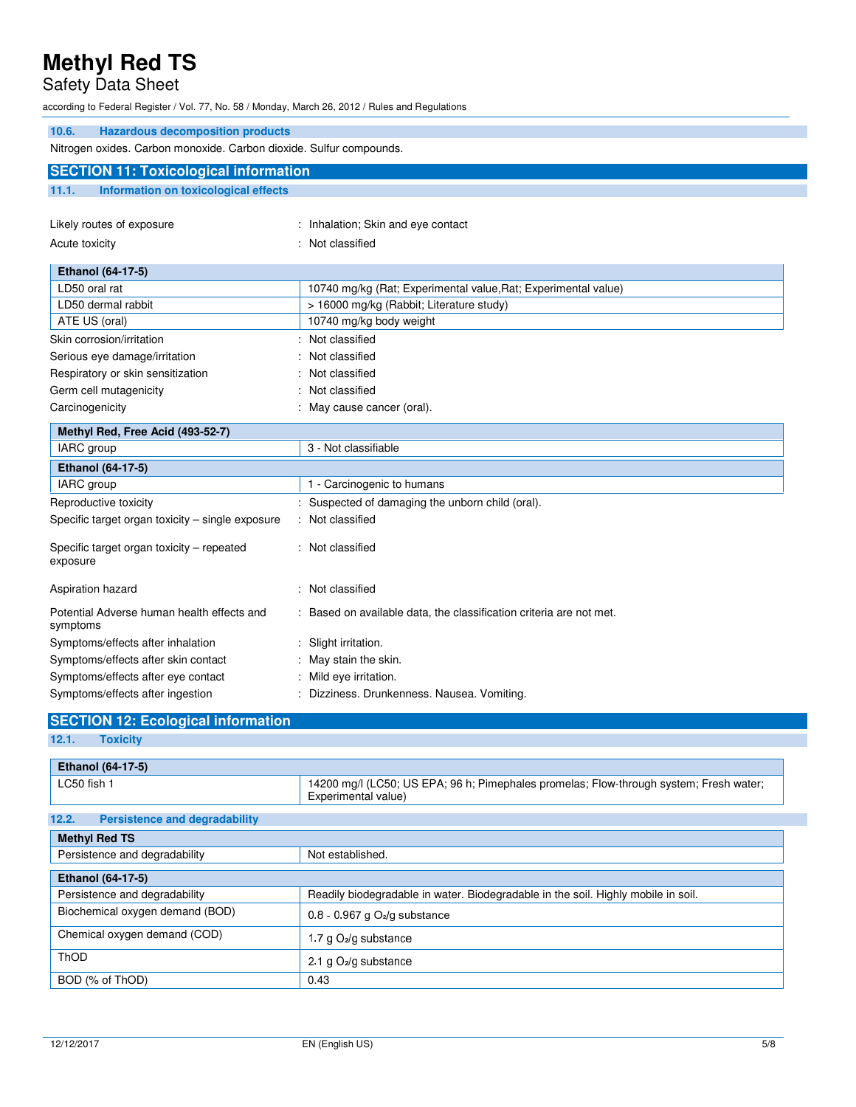## Safety Data Sheet

according to Federal Register / Vol. 77, No. 58 / Monday, March 26, 2012 / Rules and Regulations

| <b>Hazardous decomposition products</b><br>10.6.                    |                                                                   |  |
|---------------------------------------------------------------------|-------------------------------------------------------------------|--|
| Nitrogen oxides. Carbon monoxide. Carbon dioxide. Sulfur compounds. |                                                                   |  |
| <b>SECTION 11: Toxicological information</b>                        |                                                                   |  |
| 11.1.<br>Information on toxicological effects                       |                                                                   |  |
|                                                                     |                                                                   |  |
| Likely routes of exposure                                           | : Inhalation; Skin and eye contact                                |  |
| Acute toxicity                                                      | Not classified                                                    |  |
| Ethanol (64-17-5)                                                   |                                                                   |  |
| LD50 oral rat                                                       | 10740 mg/kg (Rat; Experimental value, Rat; Experimental value)    |  |
| LD50 dermal rabbit                                                  | > 16000 mg/kg (Rabbit; Literature study)                          |  |
| ATE US (oral)                                                       | 10740 mg/kg body weight                                           |  |
| Skin corrosion/irritation                                           | Not classified                                                    |  |
| Serious eye damage/irritation                                       | Not classified                                                    |  |
| Respiratory or skin sensitization                                   | Not classified                                                    |  |
| Germ cell mutagenicity                                              | Not classified                                                    |  |
| Carcinogenicity                                                     | May cause cancer (oral).                                          |  |
| Methyl Red, Free Acid (493-52-7)                                    |                                                                   |  |
| IARC group                                                          | 3 - Not classifiable                                              |  |
| <b>Ethanol (64-17-5)</b>                                            |                                                                   |  |
| IARC group                                                          | 1 - Carcinogenic to humans                                        |  |
| Reproductive toxicity                                               | Suspected of damaging the unborn child (oral).                    |  |
| Specific target organ toxicity - single exposure                    | Not classified                                                    |  |
| Specific target organ toxicity – repeated<br>exposure               | : Not classified                                                  |  |
| Aspiration hazard                                                   | Not classified                                                    |  |
| Potential Adverse human health effects and<br>symptoms              | Based on available data, the classification criteria are not met. |  |
| Symptoms/effects after inhalation                                   | Slight irritation.                                                |  |
| Symptoms/effects after skin contact                                 | May stain the skin.                                               |  |
| Symptoms/effects after eye contact                                  | Mild eye irritation.                                              |  |
| Symptoms/effects after ingestion                                    | Dizziness. Drunkenness. Nausea. Vomiting.                         |  |

## **SECTION 12: Ecological information**

### **12.1. Toxicity**

| <b>Ethanol (64-17-5)</b>                      |                                                                                                               |
|-----------------------------------------------|---------------------------------------------------------------------------------------------------------------|
| LC50 fish 1                                   | 14200 mg/l (LC50; US EPA; 96 h; Pimephales promelas; Flow-through system; Fresh water;<br>Experimental value) |
| 12.2.<br><b>Persistence and degradability</b> |                                                                                                               |
| <b>Methyl Red TS</b>                          |                                                                                                               |
| Persistence and degradability                 | Not established.                                                                                              |
| <b>Ethanol (64-17-5)</b>                      |                                                                                                               |
| Persistence and degradability                 | Readily biodegradable in water. Biodegradable in the soil. Highly mobile in soil.                             |
| Biochemical oxygen demand (BOD)               | $0.8 - 0.967$ g O <sub>2</sub> /g substance                                                                   |
| Chemical oxygen demand (COD)                  | 1.7 g O <sub>2</sub> /g substance                                                                             |
| <b>ThOD</b>                                   | 2.1 g $O_2$ /g substance                                                                                      |
| BOD (% of ThOD)                               | 0.43                                                                                                          |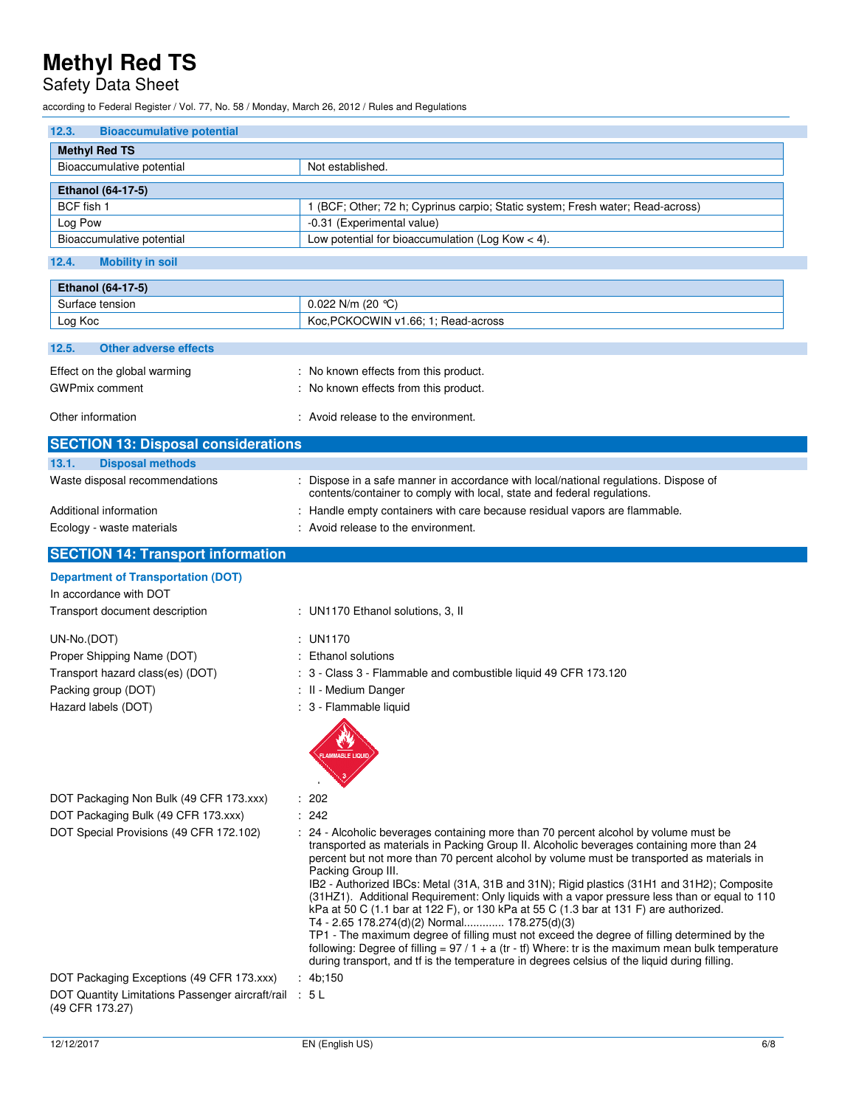# Safety Data Sheet

according to Federal Register / Vol. 77, No. 58 / Monday, March 26, 2012 / Rules and Regulations

| 12.3.<br><b>Bioaccumulative potential</b>                                 |                                                                                                                                             |
|---------------------------------------------------------------------------|---------------------------------------------------------------------------------------------------------------------------------------------|
| <b>Methyl Red TS</b>                                                      |                                                                                                                                             |
| Bioaccumulative potential                                                 | Not established.                                                                                                                            |
|                                                                           |                                                                                                                                             |
| Ethanol (64-17-5)<br>BCF fish 1                                           |                                                                                                                                             |
| Log Pow                                                                   | 1 (BCF; Other; 72 h; Cyprinus carpio; Static system; Fresh water; Read-across)<br>-0.31 (Experimental value)                                |
| Bioaccumulative potential                                                 | Low potential for bioaccumulation (Log Kow $<$ 4).                                                                                          |
|                                                                           |                                                                                                                                             |
| 12.4.<br><b>Mobility in soil</b>                                          |                                                                                                                                             |
| Ethanol (64-17-5)                                                         |                                                                                                                                             |
| Surface tension                                                           | 0.022 N/m (20 $°C$ )                                                                                                                        |
| Log Koc                                                                   | Koc.PCKOCWIN v1.66; 1; Read-across                                                                                                          |
| 12.5.<br><b>Other adverse effects</b>                                     |                                                                                                                                             |
| Effect on the global warming                                              | : No known effects from this product.                                                                                                       |
| <b>GWPmix comment</b>                                                     | : No known effects from this product.                                                                                                       |
|                                                                           |                                                                                                                                             |
| Other information                                                         | : Avoid release to the environment.                                                                                                         |
| <b>SECTION 13: Disposal considerations</b>                                |                                                                                                                                             |
| <b>Disposal methods</b><br>13.1.                                          |                                                                                                                                             |
| Waste disposal recommendations                                            | : Dispose in a safe manner in accordance with local/national regulations. Dispose of                                                        |
|                                                                           | contents/container to comply with local, state and federal regulations.                                                                     |
| Additional information                                                    | : Handle empty containers with care because residual vapors are flammable.                                                                  |
| Ecology - waste materials                                                 | : Avoid release to the environment.                                                                                                         |
| <b>SECTION 14: Transport information</b>                                  |                                                                                                                                             |
| <b>Department of Transportation (DOT)</b>                                 |                                                                                                                                             |
| In accordance with DOT                                                    |                                                                                                                                             |
| Transport document description                                            | : UN1170 Ethanol solutions, 3, II                                                                                                           |
|                                                                           |                                                                                                                                             |
| UN-No.(DOT)                                                               | : UN1170                                                                                                                                    |
| Proper Shipping Name (DOT)                                                | : Ethanol solutions                                                                                                                         |
| Transport hazard class(es) (DOT)                                          | : 3 - Class 3 - Flammable and combustible liquid 49 CFR 173.120                                                                             |
| Packing group (DOT)<br>Hazard labels (DOT)                                | : II - Medium Danger<br>: 3 - Flammable liquid                                                                                              |
|                                                                           |                                                                                                                                             |
|                                                                           |                                                                                                                                             |
|                                                                           | FLAMMABLE LIQUID/                                                                                                                           |
|                                                                           |                                                                                                                                             |
|                                                                           |                                                                                                                                             |
| DOT Packaging Non Bulk (49 CFR 173.xxx)                                   | : 202                                                                                                                                       |
| DOT Packaging Bulk (49 CFR 173.xxx)                                       | : 242<br>: 24 - Alcoholic beverages containing more than 70 percent alcohol by volume must be                                               |
| DOT Special Provisions (49 CFR 172.102)                                   | transported as materials in Packing Group II. Alcoholic beverages containing more than 24                                                   |
|                                                                           | percent but not more than 70 percent alcohol by volume must be transported as materials in                                                  |
|                                                                           | Packing Group III.<br>IB2 - Authorized IBCs: Metal (31A, 31B and 31N); Rigid plastics (31H1 and 31H2); Composite                            |
|                                                                           | (31HZ1). Additional Requirement: Only liquids with a vapor pressure less than or equal to 110                                               |
|                                                                           | kPa at 50 C (1.1 bar at 122 F), or 130 kPa at 55 C (1.3 bar at 131 F) are authorized.                                                       |
|                                                                           | T4 - 2.65 178.274(d)(2) Normal 178.275(d)(3)<br>TP1 - The maximum degree of filling must not exceed the degree of filling determined by the |
|                                                                           | following: Degree of filling = $97/1 + a$ (tr - tf) Where: tr is the maximum mean bulk temperature                                          |
|                                                                           | during transport, and tf is the temperature in degrees celsius of the liquid during filling.                                                |
| DOT Packaging Exceptions (49 CFR 173.xxx)                                 | : 4b, 150                                                                                                                                   |
| DOT Quantity Limitations Passenger aircraft/rail : 5 L<br>(49 CFR 173.27) |                                                                                                                                             |
|                                                                           |                                                                                                                                             |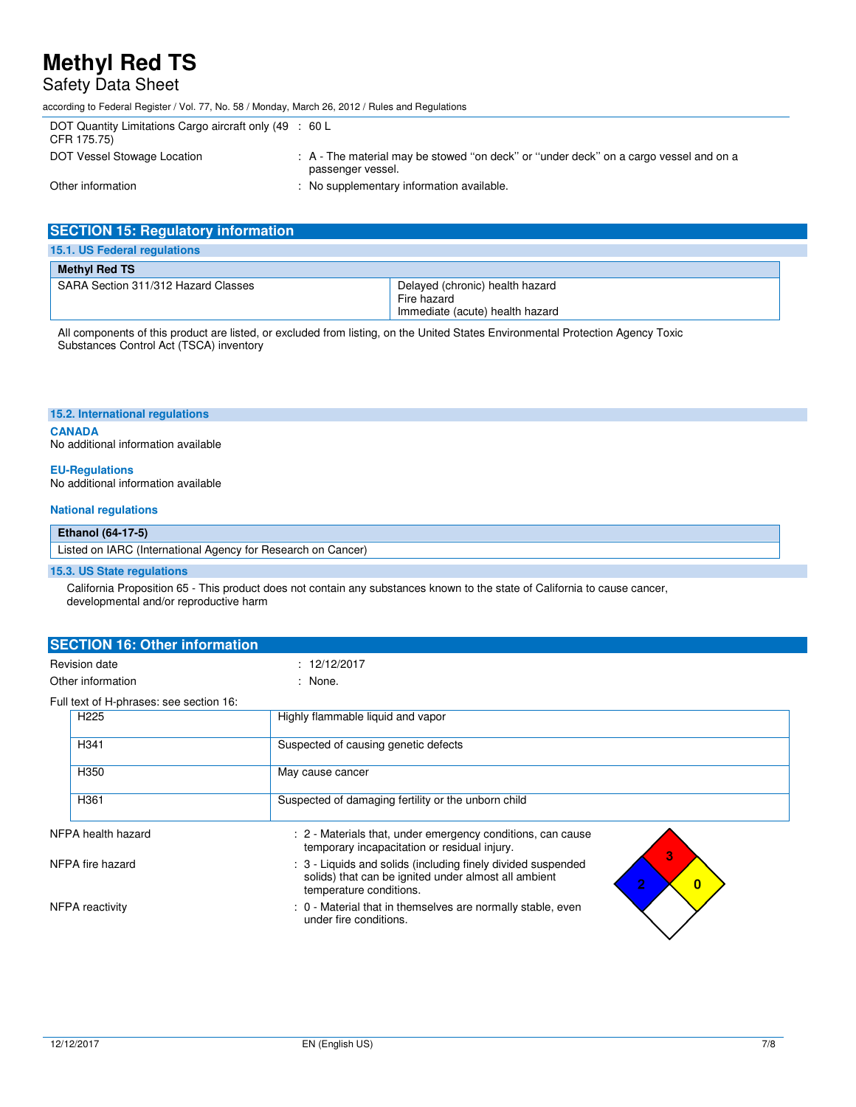## Safety Data Sheet

according to Federal Register / Vol. 77, No. 58 / Monday, March 26, 2012 / Rules and Regulations

| DOT Quantity Limitations Cargo aircraft only (49 : 60 L<br>CFR 175.75) |                                                                                                            |
|------------------------------------------------------------------------|------------------------------------------------------------------------------------------------------------|
| DOT Vessel Stowage Location                                            | : A - The material may be stowed "on deck" or "under deck" on a cargo vessel and on a<br>passenger vessel. |
| Other information                                                      | : No supplementary information available.                                                                  |

| <b>SECTION 15: Regulatory information</b> |                                                                                   |
|-------------------------------------------|-----------------------------------------------------------------------------------|
| 15.1. US Federal regulations              |                                                                                   |
| <b>Methyl Red TS</b>                      |                                                                                   |
| SARA Section 311/312 Hazard Classes       | Delayed (chronic) health hazard<br>Fire hazard<br>Immediate (acute) health hazard |

All components of this product are listed, or excluded from listing, on the United States Environmental Protection Agency Toxic Substances Control Act (TSCA) inventory

#### **15.2. International regulations**

**CANADA**  No additional information available

#### **EU-Regulations**

No additional information available

#### **National regulations**

#### **Ethanol (64-17-5)**

### **15.3. US State regulations**

 California Proposition 65 - This product does not contain any substances known to the state of California to cause cancer, developmental and/or reproductive harm

| <b>SECTION 16: Other information</b> |                                         |                                                                                                                                                                                        |  |  |  |
|--------------------------------------|-----------------------------------------|----------------------------------------------------------------------------------------------------------------------------------------------------------------------------------------|--|--|--|
|                                      | <b>Revision date</b>                    | : 12/12/2017                                                                                                                                                                           |  |  |  |
| Other information                    |                                         | : None.                                                                                                                                                                                |  |  |  |
|                                      | Full text of H-phrases: see section 16: |                                                                                                                                                                                        |  |  |  |
|                                      | H <sub>225</sub>                        | Highly flammable liquid and vapor                                                                                                                                                      |  |  |  |
|                                      | H <sub>341</sub>                        | Suspected of causing genetic defects                                                                                                                                                   |  |  |  |
|                                      | H350                                    | May cause cancer                                                                                                                                                                       |  |  |  |
|                                      | H <sub>361</sub>                        | Suspected of damaging fertility or the unborn child                                                                                                                                    |  |  |  |
| NFPA health hazard                   |                                         | : 2 - Materials that, under emergency conditions, can cause<br>temporary incapacitation or residual injury.                                                                            |  |  |  |
| NFPA fire hazard                     |                                         | 3<br>: 3 - Liquids and solids (including finely divided suspended<br>solids) that can be ignited under almost all ambient<br>$\overline{2}$<br>$\mathbf{0}$<br>temperature conditions. |  |  |  |
| NFPA reactivity                      |                                         | : 0 - Material that in themselves are normally stable, even<br>under fire conditions.                                                                                                  |  |  |  |